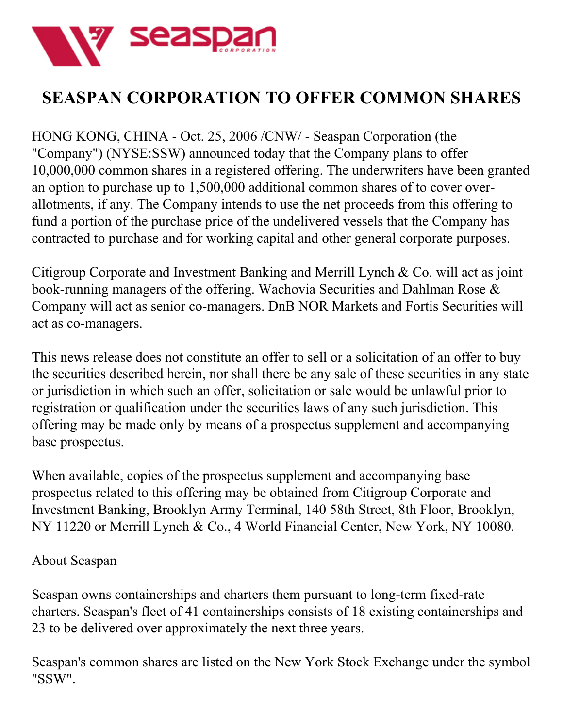

## **SEASPAN CORPORATION TO OFFER COMMON SHARES**

HONG KONG, CHINA - Oct. 25, 2006 /CNW/ - Seaspan Corporation (the "Company") (NYSE:SSW) announced today that the Company plans to offer 10,000,000 common shares in a registered offering. The underwriters have been granted an option to purchase up to 1,500,000 additional common shares of to cover overallotments, if any. The Company intends to use the net proceeds from this offering to fund a portion of the purchase price of the undelivered vessels that the Company has contracted to purchase and for working capital and other general corporate purposes.

Citigroup Corporate and Investment Banking and Merrill Lynch & Co. will act as joint book-running managers of the offering. Wachovia Securities and Dahlman Rose & Company will act as senior co-managers. DnB NOR Markets and Fortis Securities will act as co-managers.

This news release does not constitute an offer to sell or a solicitation of an offer to buy the securities described herein, nor shall there be any sale of these securities in any state or jurisdiction in which such an offer, solicitation or sale would be unlawful prior to registration or qualification under the securities laws of any such jurisdiction. This offering may be made only by means of a prospectus supplement and accompanying base prospectus.

When available, copies of the prospectus supplement and accompanying base prospectus related to this offering may be obtained from Citigroup Corporate and Investment Banking, Brooklyn Army Terminal, 140 58th Street, 8th Floor, Brooklyn, NY 11220 or Merrill Lynch & Co., 4 World Financial Center, New York, NY 10080.

## About Seaspan

Seaspan owns containerships and charters them pursuant to long-term fixed-rate charters. Seaspan's fleet of 41 containerships consists of 18 existing containerships and 23 to be delivered over approximately the next three years.

Seaspan's common shares are listed on the New York Stock Exchange under the symbol "SSW".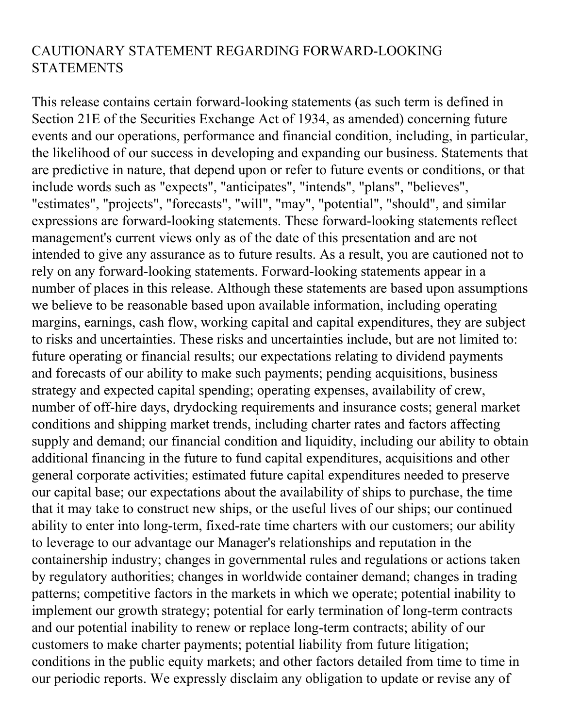## CAUTIONARY STATEMENT REGARDING FORWARD-LOOKING **STATEMENTS**

This release contains certain forward-looking statements (as such term is defined in Section 21E of the Securities Exchange Act of 1934, as amended) concerning future events and our operations, performance and financial condition, including, in particular, the likelihood of our success in developing and expanding our business. Statements that are predictive in nature, that depend upon or refer to future events or conditions, or that include words such as "expects", "anticipates", "intends", "plans", "believes", "estimates", "projects", "forecasts", "will", "may", "potential", "should", and similar expressions are forward-looking statements. These forward-looking statements reflect management's current views only as of the date of this presentation and are not intended to give any assurance as to future results. As a result, you are cautioned not to rely on any forward-looking statements. Forward-looking statements appear in a number of places in this release. Although these statements are based upon assumptions we believe to be reasonable based upon available information, including operating margins, earnings, cash flow, working capital and capital expenditures, they are subject to risks and uncertainties. These risks and uncertainties include, but are not limited to: future operating or financial results; our expectations relating to dividend payments and forecasts of our ability to make such payments; pending acquisitions, business strategy and expected capital spending; operating expenses, availability of crew, number of off-hire days, drydocking requirements and insurance costs; general market conditions and shipping market trends, including charter rates and factors affecting supply and demand; our financial condition and liquidity, including our ability to obtain additional financing in the future to fund capital expenditures, acquisitions and other general corporate activities; estimated future capital expenditures needed to preserve our capital base; our expectations about the availability of ships to purchase, the time that it may take to construct new ships, or the useful lives of our ships; our continued ability to enter into long-term, fixed-rate time charters with our customers; our ability to leverage to our advantage our Manager's relationships and reputation in the containership industry; changes in governmental rules and regulations or actions taken by regulatory authorities; changes in worldwide container demand; changes in trading patterns; competitive factors in the markets in which we operate; potential inability to implement our growth strategy; potential for early termination of long-term contracts and our potential inability to renew or replace long-term contracts; ability of our customers to make charter payments; potential liability from future litigation; conditions in the public equity markets; and other factors detailed from time to time in our periodic reports. We expressly disclaim any obligation to update or revise any of